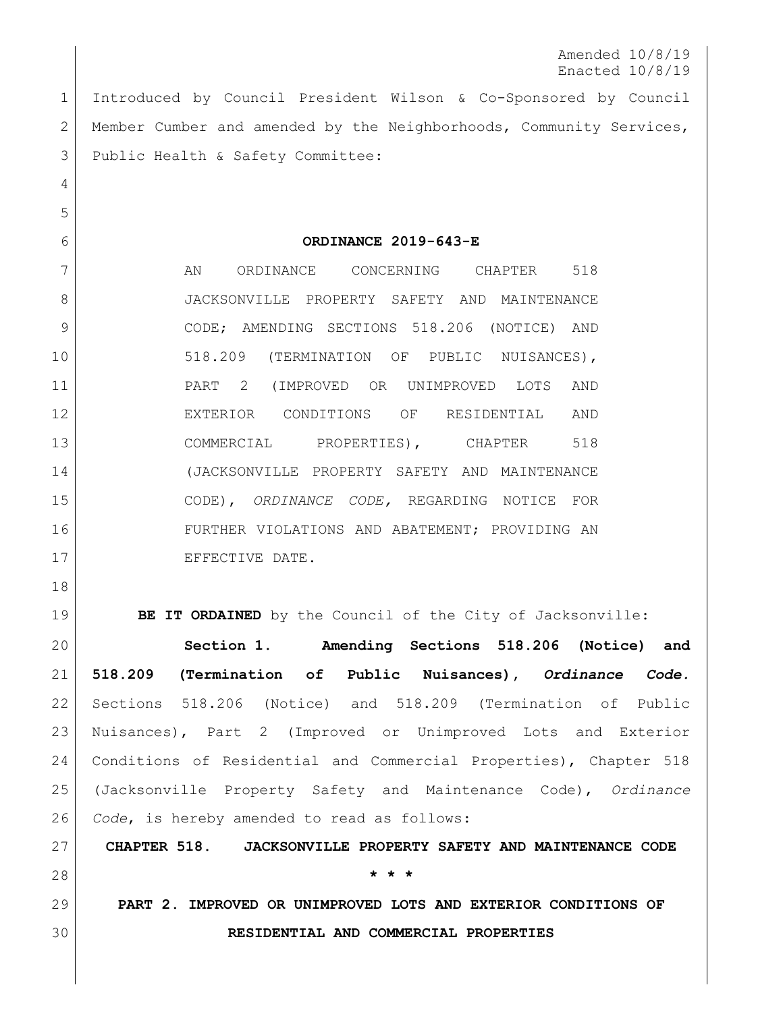Amended 10/8/19 Enacted 10/8/19

 Introduced by Council President Wilson & Co-Sponsored by Council 2 Member Cumber and amended by the Neighborhoods, Community Services, Public Health & Safety Committee:

**ORDINANCE 2019-643-E**

7 AN ORDINANCE CONCERNING CHAPTER 518 JACKSONVILLE PROPERTY SAFETY AND MAINTENANCE CODE; AMENDING SECTIONS 518.206 (NOTICE) AND 10 | 518.209 (TERMINATION OF PUBLIC NUISANCES), PART 2 (IMPROVED OR UNIMPROVED LOTS AND EXTERIOR CONDITIONS OF RESIDENTIAL AND 13 COMMERCIAL PROPERTIES), CHAPTER 518 (JACKSONVILLE PROPERTY SAFETY AND MAINTENANCE CODE), *ORDINANCE CODE,* REGARDING NOTICE FOR FURTHER VIOLATIONS AND ABATEMENT; PROVIDING AN 17 EFFECTIVE DATE.

**BE IT ORDAINED** by the Council of the City of Jacksonville:

 **Section 1. Amending Sections 518.206 (Notice) and 518.209 (Termination of Public Nuisances),** *Ordinance Code.* Sections 518.206 (Notice) and 518.209 (Termination of Public Nuisances), Part 2 (Improved or Unimproved Lots and Exterior Conditions of Residential and Commercial Properties), Chapter 518 (Jacksonville Property Safety and Maintenance Code), *Ordinance Code*, is hereby amended to read as follows:

 **CHAPTER 518. JACKSONVILLE PROPERTY SAFETY AND MAINTENANCE CODE \* \* \***

 **PART 2. IMPROVED OR UNIMPROVED LOTS AND EXTERIOR CONDITIONS OF RESIDENTIAL AND COMMERCIAL PROPERTIES**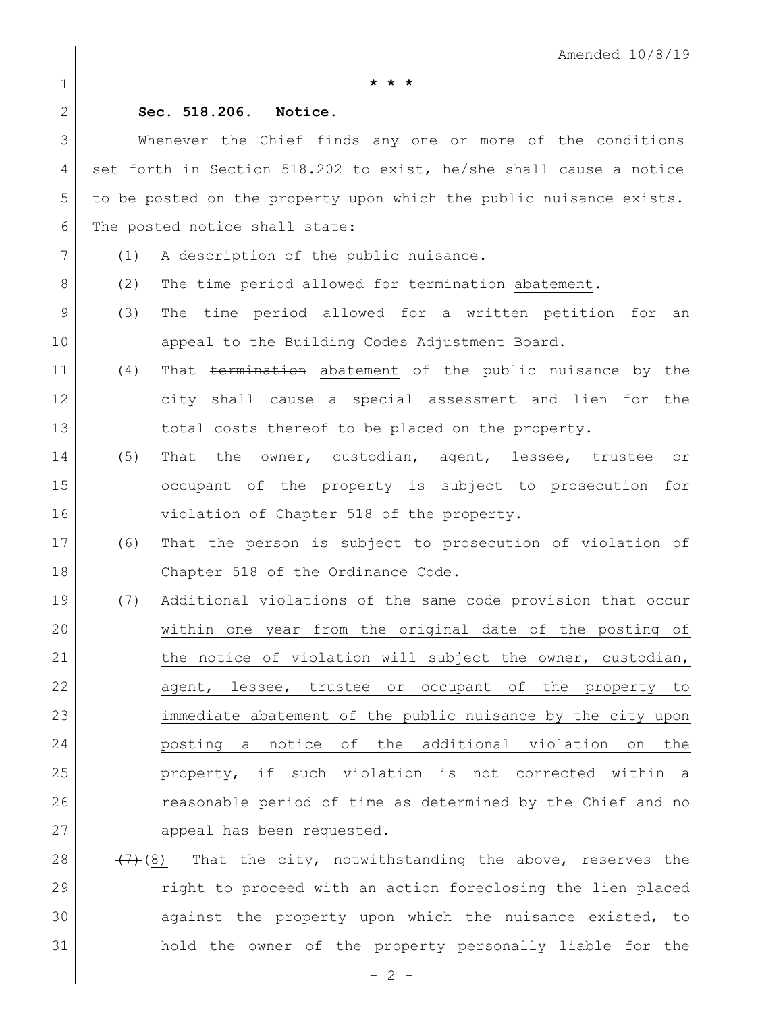1 **\* \* \***

## 2 **Sec. 518.206. Notice.**

3 Whenever the Chief finds any one or more of the conditions 4 set forth in Section 518.202 to exist, he/she shall cause a notice 5 to be posted on the property upon which the public nuisance exists. 6 The posted notice shall state:

- 7 (1) A description of the public nuisance.
- 8 (2) The time period allowed for termination abatement.
- 9 (3) The time period allowed for a written petition for an 10 appeal to the Building Codes Adjustment Board.
- 11 (4) That termination abatement of the public nuisance by the 12 city shall cause a special assessment and lien for the 13 total costs thereof to be placed on the property.
- 14 (5) That the owner, custodian, agent, lessee, trustee or 15 occupant of the property is subject to prosecution for 16 violation of Chapter 518 of the property.
- 17 (6) That the person is subject to prosecution of violation of 18 Chapter 518 of the Ordinance Code.
- 19 (7) Additional violations of the same code provision that occur 20 within one year from the original date of the posting of 21 the notice of violation will subject the owner, custodian, 22 agent, lessee, trustee or occupant of the property to 23 immediate abatement of the public nuisance by the city upon 24 posting a notice of the additional violation on the 25 property, if such violation is not corrected within a 26 reasonable period of time as determined by the Chief and no 27 appeal has been requested.
- 28  $(7)$  (8) That the city, notwithstanding the above, reserves the 29 right to proceed with an action foreclosing the lien placed 30 against the property upon which the nuisance existed, to 31 hold the owner of the property personally liable for the

 $-2 -$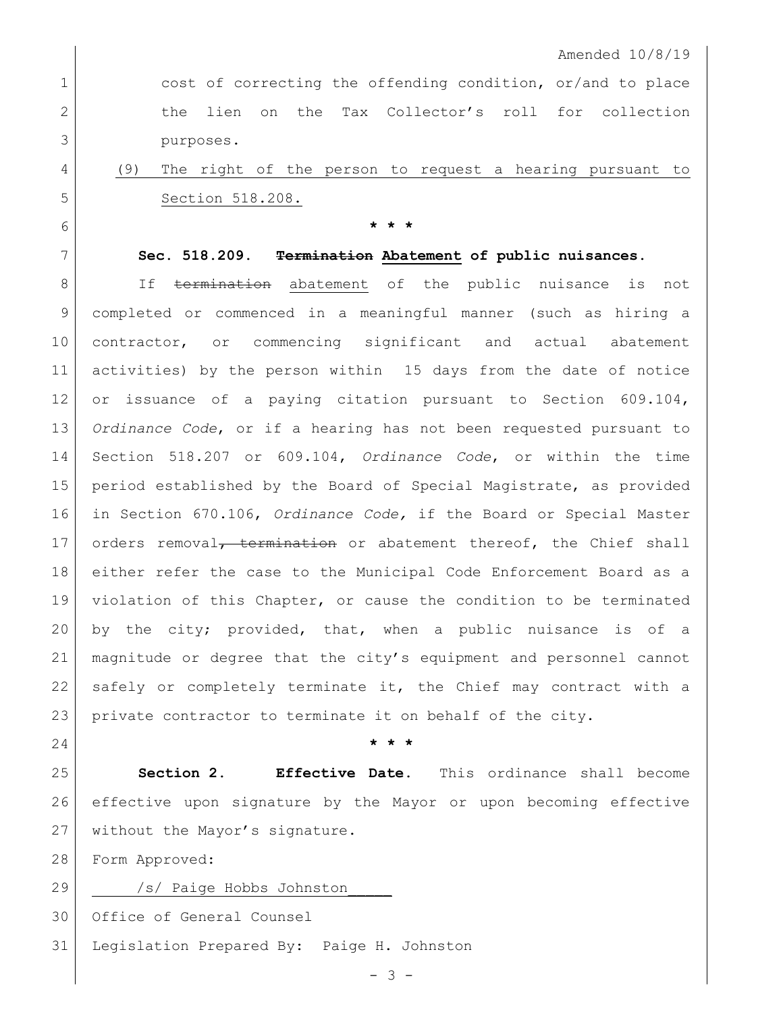1 cost of correcting the offending condition, or/and to place 2 the lien on the Tax Collector's roll for collection purposes.

## (9) The right of the person to request a hearing pursuant to Section 518.208.

**\* \* \***

## **Sec. 518.209. Termination Abatement of public nuisances.**

8 If termination abatement of the public nuisance is not completed or commenced in a meaningful manner (such as hiring a contractor, or commencing significant and actual abatement activities) by the person within 15 days from the date of notice or issuance of a paying citation pursuant to Section 609.104, *Ordinance Code*, or if a hearing has not been requested pursuant to Section 518.207 or 609.104, *Ordinance Code*, or within the time period established by the Board of Special Magistrate, as provided in Section 670.106, *Ordinance Code,* if the Board or Special Master 17 orders removal<del>, termination</del> or abatement thereof, the Chief shall either refer the case to the Municipal Code Enforcement Board as a 19 violation of this Chapter, or cause the condition to be terminated by the city; provided, that, when a public nuisance is of a magnitude or degree that the city's equipment and personnel cannot safely or completely terminate it, the Chief may contract with a private contractor to terminate it on behalf of the city.

**\* \* \***

 **Section 2. Effective Date.** This ordinance shall become effective upon signature by the Mayor or upon becoming effective 27 without the Mayor's signature.

Form Approved:

29 /s/ Paige Hobbs Johnston Office of General Counsel Legislation Prepared By: Paige H. Johnston

 $- 3 -$